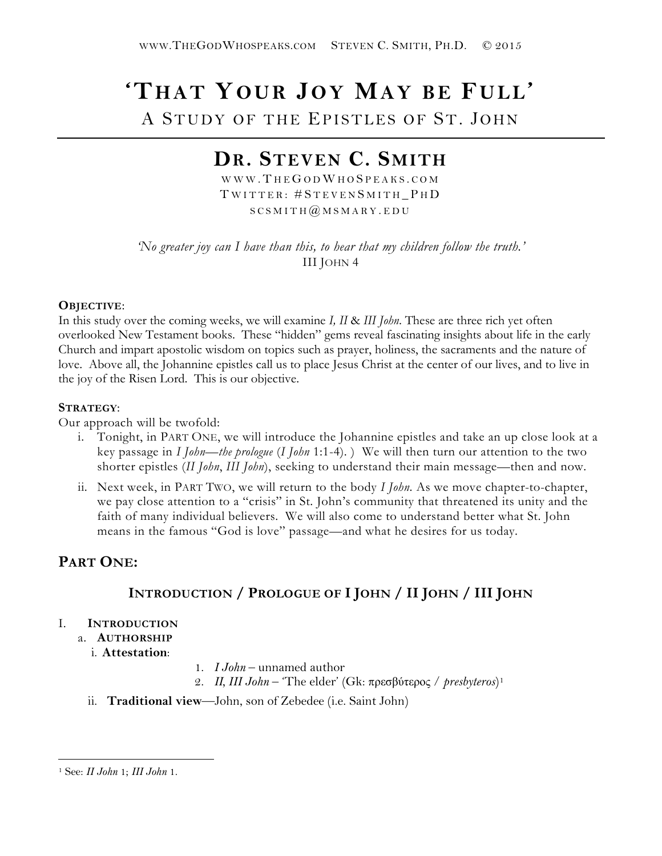# **'THAT YOUR JOY MAY BE FULL'** A STUDY OF THE EPISTLES OF ST. JOHN

# **DR. STEVEN C. SMITH**

WWW.THEGODWHOSPEAKS.COM TWITTER: #STEVENSMITH PHD  $SCSMITH$   $@$   $MSMARY$  . EDU

*'No greater joy can I have than this, to hear that my children follow the truth.'* III JOHN 4

#### **OBJECTIVE**:

In this study over the coming weeks, we will examine *I, II* & *III John*. These are three rich yet often overlooked New Testament books. These "hidden" gems reveal fascinating insights about life in the early Church and impart apostolic wisdom on topics such as prayer, holiness, the sacraments and the nature of love. Above all, the Johannine epistles call us to place Jesus Christ at the center of our lives, and to live in the joy of the Risen Lord. This is our objective.

#### **STRATEGY**:

Our approach will be twofold:

- i. Tonight, in PART ONE, we will introduce the Johannine epistles and take an up close look at a key passage in *I John—the prologue* (*I John* 1:1-4). ) We will then turn our attention to the two shorter epistles (*II John*, *III John*), seeking to understand their main message—then and now.
- ii. Next week, in PART TWO, we will return to the body *I John*. As we move chapter-to-chapter, we pay close attention to a "crisis" in St. John's community that threatened its unity and the faith of many individual believers. We will also come to understand better what St. John means in the famous "God is love" passage—and what he desires for us today.

# **PART ONE:**

# **INTRODUCTION / PROLOGUE OF I JOHN / II JOHN / III JOHN**

#### I. **INTRODUCTION**

- a. **AUTHORSHIP**
	- i. **Attestation**:
- 1. *I John*  unnamed author
- 2. *II, III John*  'The elder' (Gk: πρεσβύτερος / *presbyteros*)[1](#page-0-0)
- ii. **Traditional view**—John, son of Zebedee (i.e. Saint John)

 $\overline{a}$ 

<span id="page-0-0"></span><sup>1</sup> See: *II John* 1; *III John* 1.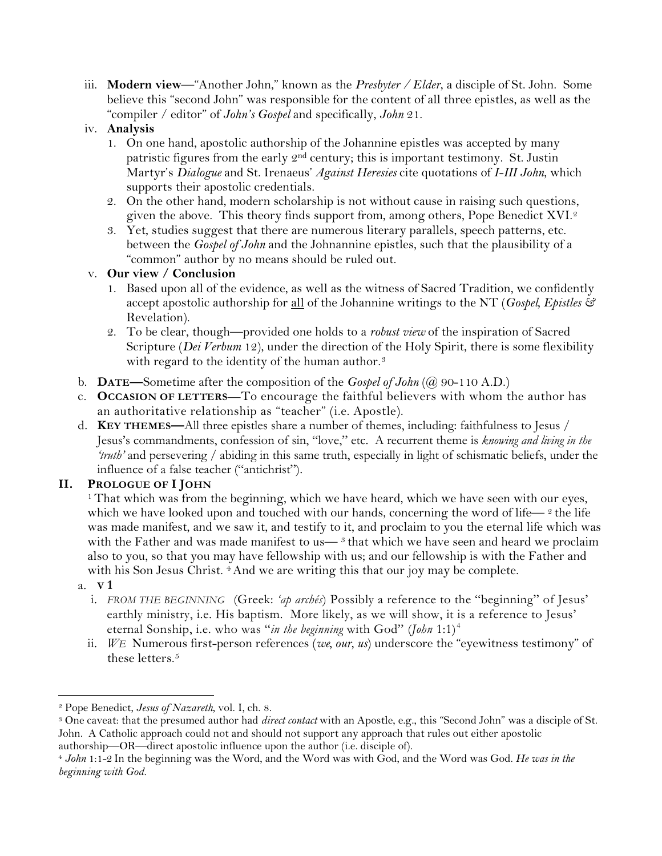iii. **Modern view**—"Another John," known as the *Presbyter / Elder*, a disciple of St. John. Some believe this "second John" was responsible for the content of all three epistles, as well as the "compiler / editor" of *John's Gospel* and specifically, *John* 21.

### iv. **Analysis**

- 1. On one hand, apostolic authorship of the Johannine epistles was accepted by many patristic figures from the early 2nd century; this is important testimony. St. Justin Martyr's *Dialogue* and St. Irenaeus' *Against Heresies* cite quotations of *I-III John*, which supports their apostolic credentials.
- 2. On the other hand, modern scholarship is not without cause in raising such questions, given the above. This theory finds support from, among others, Pope Benedict XVI.[2](#page-1-0)
- 3. Yet, studies suggest that there are numerous literary parallels, speech patterns, etc. between the *Gospel of John* and the Johnannine epistles, such that the plausibility of a "common" author by no means should be ruled out.

## v. **Our view / Conclusion**

- 1. Based upon all of the evidence, as well as the witness of Sacred Tradition, we confidently accept apostolic authorship for all of the Johannine writings to the NT (*Gospel, Epistles &*  Revelation).
- 2. To be clear, though—provided one holds to a *robust view* of the inspiration of Sacred Scripture (*Dei Verbum* 12), under the direction of the Holy Spirit, there is some flexibility with regard to the identity of the human author.<sup>[3](#page-1-1)</sup>
- b. **DATE—**Sometime after the composition of the *Gospel of John* (@ 90-110 A.D.)
- c. **OCCASION OF LETTERS**—To encourage the faithful believers with whom the author has an authoritative relationship as "teacher" (i.e. Apostle).
- d. **KEY THEMES—**All three epistles share a number of themes, including: faithfulness to Jesus / Jesus's commandments, confession of sin, "love," etc. A recurrent theme is *knowing and living in the 'truth'* and persevering / abiding in this same truth, especially in light of schismatic beliefs, under the influence of a false teacher ("antichrist").

# **II. PROLOGUE OF I JOHN**

<sup>1</sup> That which was from the beginning, which we have heard, which we have seen with our eyes, which we have looked upon and touched with our hands, concerning the word of life— $\degree$  the life was made manifest, and we saw it, and testify to it, and proclaim to you the eternal life which was with the Father and was made manifest to us— $<sup>3</sup>$  that which we have seen and heard we proclaim</sup> also to you, so that you may have fellowship with us; and our fellowship is with the Father and with his Son Jesus Christ. <sup>4</sup> And we are writing this that our joy may be complete.

- a. **V 1**
	- i. *FROM THE BEGINNING* (Greek: *'ap archés*) Possibly a reference to the "beginning" of Jesus' earthly ministry, i.e. His baptism. More likely, as we will show, it is a reference to Jesus' eternal Sonship, i.e. who was "*in the beginning* with God" (*John* 1:1)[4](#page-1-2)
	- ii. *WE* Numerous first-person references (*we, our, us*) underscore the "eyewitness testimony" of these letters.<sup>[5](#page-1-3)</sup>

<sup>2</sup> Pope Benedict, *Jesus of Nazareth*, vol. I, ch. 8.  $\overline{a}$ 

<span id="page-1-3"></span><span id="page-1-1"></span><span id="page-1-0"></span><sup>3</sup> One caveat: that the presumed author had *direct contact* with an Apostle, e.g., this "Second John" was a disciple of St. John. A Catholic approach could not and should not support any approach that rules out either apostolic authorship—OR—direct apostolic influence upon the author (i.e. disciple of).

<span id="page-1-2"></span><sup>4</sup> *John* 1:1-2 In the beginning was the Word, and the Word was with God, and the Word was God. *He was in the beginning with God.*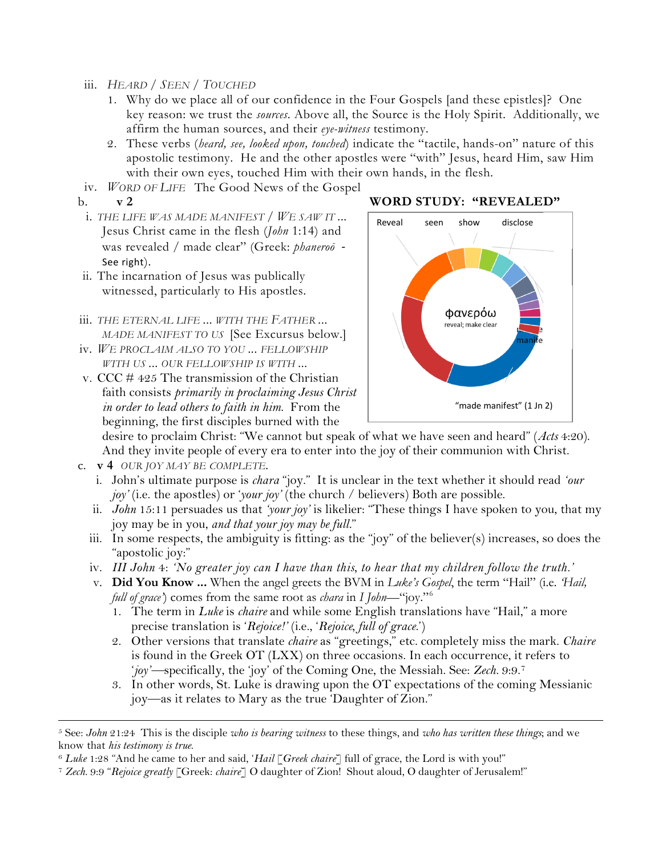- iii. *HEARD / SEEN / TOUCHED* 
	- 1. Why do we place all of our confidence in the Four Gospels [and these epistles]? One key reason: we trust the *sources*. Above all, the Source is the Holy Spirit. Additionally, we affirm the human sources, and their *eye-witness* testimony.
	- 2. These verbs (*heard, see, looked upon, touched*) indicate the "tactile, hands-on" nature of this apostolic testimony. He and the other apostles were "with" Jesus, heard Him, saw Him with their own eyes, touched Him with their own hands, in the flesh.
- iv. *WORD OF LIFE* The Good News of the Gospel
- 

 $\overline{a}$ 

- i. *THE LIFE WAS MADE MANIFEST / WE SAW IT ...* Jesus Christ came in the flesh (*John* 1:14) and was revealed / made clear" (Greek: *phaneroō* - See right).
- ii. The incarnation of Jesus was publically witnessed, particularly to His apostles.
- iii. *THE ETERNAL LIFE ... WITH THE FATHER ... MADE MANIFEST TO US* [See Excursus below.]
- iv. *WE PROCLAIM ALSO TO YOU ... FELLOWSHIP WITH US ... OUR FELLOWSHIP IS WITH ...*
- v. CCC # 425 The transmission of the Christian faith consists *primarily in proclaiming Jesus Christ in order to lead others to faith in him*. From the beginning, the first disciples burned with the



#### b. **v 2 WORD STUDY: "REVEALED"**

desire to proclaim Christ: "We cannot but speak of what we have seen and heard" (*Acts* 4:20). And they invite people of every era to enter into the joy of their communion with Christ.

- c. **v 4** *OUR JOY MAY BE COMPLETE.*
	- i. John's ultimate purpose is *chara* "joy." It is unclear in the text whether it should read *'our joy'* (i.e. the apostles) or '*your joy'* (the church / believers) Both are possible.
	- ii. *John* 15:11 persuades us that *'your joy'* is likelier: "These things I have spoken to you, that my joy may be in you, *and that your joy may be full.*"
	- iii. In some respects, the ambiguity is fitting: as the "joy" of the believer(s) increases, so does the "apostolic joy:"
	- iv. *III John* 4: *'No greater joy can I have than this, to hear that my children follow the truth.'*
	- v. **Did You Know ...** When the angel greets the BVM in *Luke's Gospel*, the term "Hail" (i.e. *'Hail, full of grace'*) comes from the same root as *chara* in *I John*—"joy."[6](#page-2-0)
		- 1. The term in *Luke* is *chaire* and while some English translations have "Hail," a more precise translation is '*Rejoice!'* (i.e., '*Rejoice, full of grace*.')
		- 2. Other versions that translate *chaire* as "greetings," etc. completely miss the mark. *Chaire*  is found in the Greek OT (LXX) on three occasions. In each occurrence, it refers to '*joy'—*specifically, the 'joy' of the Coming One, the Messiah. See: *Zech.* 9:9.[7](#page-2-1)
		- 3. In other words, St. Luke is drawing upon the OT expectations of the coming Messianic joy—as it relates to Mary as the true 'Daughter of Zion."

<sup>5</sup> See: *John* 21:24 This is the disciple *who is bearing witness* to these things, and *who has written these things*; and we

<span id="page-2-0"></span>know that *his testimony is true.*<br><sup>6</sup> Luke 1:28 "And he came to her and said, 'Hail [Greek chaire] full of grace, the Lord is with you!"<br><sup>7</sup> Zech. 9:9 "Rejoice greatly [Greek: chaire] O daughter of Zion! Shout aloud, O da

<span id="page-2-1"></span>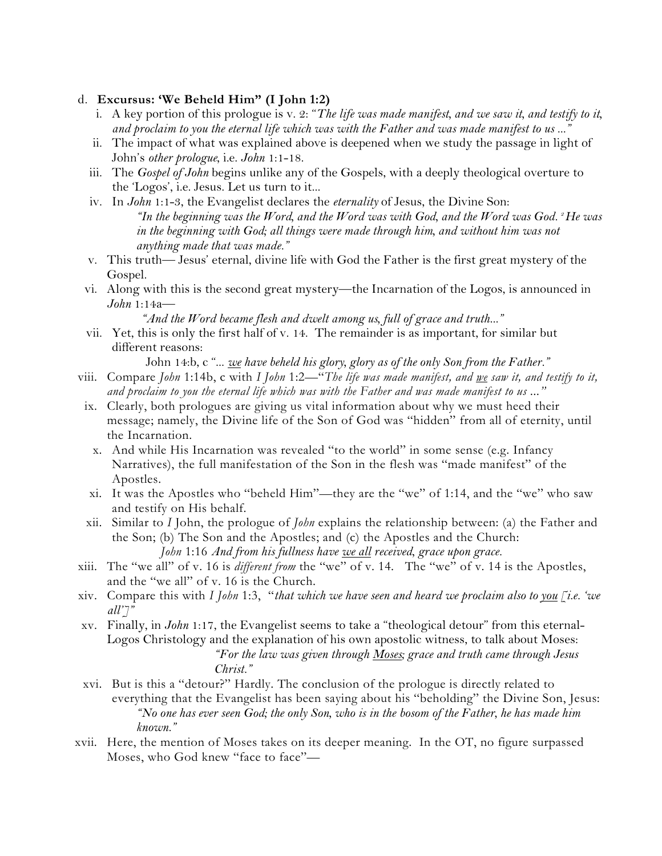#### d. **Excursus: 'We Beheld Him" (I John 1:2)**

- i. A key portion of this prologue is v. 2: "*The life was made manifest, and we saw it, and testify to it, and proclaim to you the eternal life which was with the Father and was made manifest to us ..."*
- ii. The impact of what was explained above is deepened when we study the passage in light of John's *other prologue*, i.e. *John* 1:1-18.
- iii. The *Gospel of John* begins unlike any of the Gospels, with a deeply theological overture to the 'Logos', i.e. Jesus. Let us turn to it...
- iv. In *John* 1:1-3, the Evangelist declares the *eternality* of Jesus, the Divine Son: *"In the beginning was the Word, and the Word was with God, and the Word was God. 2 He was*  in the beginning with God; all things were made through him, and without him was not *anything made that was made."*
- v. This truth— Jesus' eternal, divine life with God the Father is the first great mystery of the Gospel.
- vi. Along with this is the second great mystery—the Incarnation of the Logos, is announced in *John* 1:14a—

*"And the Word became flesh and dwelt among us, full of grace and truth..."*

vii. Yet, this is only the first half of v. 14. The remainder is as important, for similar but different reasons:

John 14:b, c "... *we have beheld his glory, glory as of the only Son from the Father."*

- viii. Compare *John* 1:14b, c with *I John* 1:2—"*The life was made manifest, and we saw it, and testify to it, and proclaim to you the eternal life which was with the Father and was made manifest to us ..."*
- ix. Clearly, both prologues are giving us vital information about why we must heed their message; namely, the Divine life of the Son of God was "hidden" from all of eternity, until the Incarnation.
	- x. And while His Incarnation was revealed "to the world" in some sense (e.g. Infancy Narratives), the full manifestation of the Son in the flesh was "made manifest" of the Apostles.
- xi. It was the Apostles who "beheld Him"—they are the "we" of 1:14, and the "we" who saw and testify on His behalf.
- xii. Similar to *I* John, the prologue of *John* explains the relationship between: (a) the Father and the Son; (b) The Son and the Apostles; and (c) the Apostles and the Church: *John* 1:16 *And from his fullness have <u>we all</u> received, grace upon grace.*
- xiii. The "we all" of v. 16 is *different from* the "we" of v. 14. The "we" of v. 14 is the Apostles, and the "we all" of v. 16 is the Church.
- xiv. Compare this with *I John* 1:3, "*that which we have seen and heard we proclaim also to you [i.e. 'we all']"*
- xv. Finally, in *John* 1:17, the Evangelist seems to take a "theological detour" from this eternal-Logos Christology and the explanation of his own apostolic witness, to talk about Moses: *"For the law was given through Moses; grace and truth came through Jesus Christ."*
- xvi. But is this a "detour?" Hardly. The conclusion of the prologue is directly related to everything that the Evangelist has been saying about his "beholding" the Divine Son, Jesus: *"No one has ever seen God; the only Son, who is in the bosom of the Father, he has made him known."*
- xvii. Here, the mention of Moses takes on its deeper meaning. In the OT, no figure surpassed Moses, who God knew "face to face"—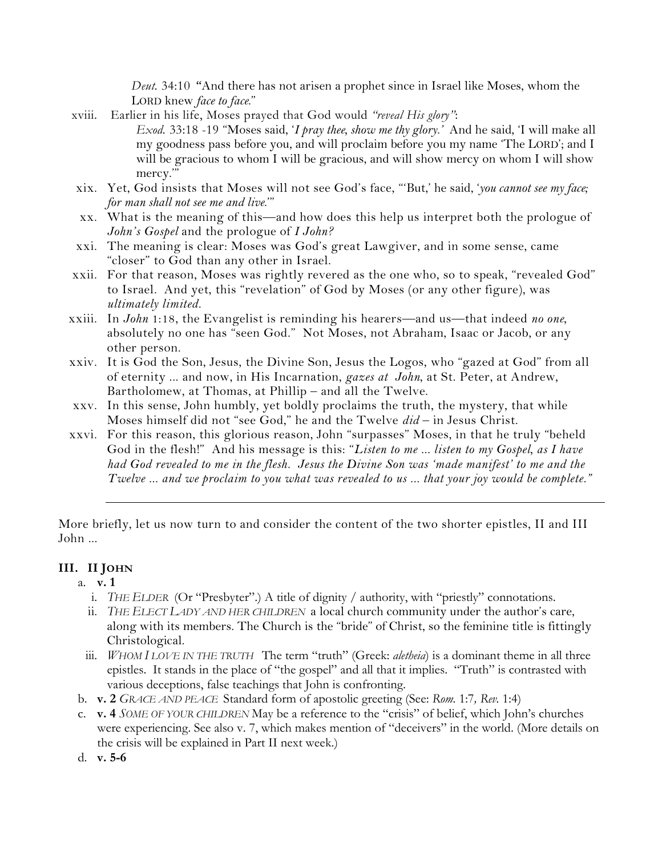*Deut.* 34:10 "And there has not arisen a prophet since in Israel like Moses, whom the LORD knew *face to face*."

- xviii. Earlier in his life, Moses prayed that God would *"reveal His glory"*: *Exod.* 33:18 -19 "Moses said, '*I pray thee, show me thy glory.'* And he said, 'I will make all my goodness pass before you, and will proclaim before you my name 'The LORD'; and I will be gracious to whom I will be gracious, and will show mercy on whom I will show mercy.'"
- xix. Yet, God insists that Moses will not see God's face, "'But,' he said, '*you cannot see my face; for man shall not see me and live*.'"
- xx. What is the meaning of this—and how does this help us interpret both the prologue of *John's Gospel* and the prologue of *I John?*
- xxi. The meaning is clear: Moses was God's great Lawgiver, and in some sense, came "closer" to God than any other in Israel.
- xxii. For that reason, Moses was rightly revered as the one who, so to speak, "revealed God" to Israel. And yet, this "revelation" of God by Moses (or any other figure), was *ultimately limited.*
- xxiii. In *John* 1:18, the Evangelist is reminding his hearers—and us—that indeed *no one*, absolutely no one has "seen God." Not Moses, not Abraham, Isaac or Jacob, or any other person.
- xxiv. It is God the Son, Jesus, the Divine Son, Jesus the Logos, who "gazed at God" from all of eternity ... and now, in His Incarnation, *gazes at John*, at St. Peter, at Andrew, Bartholomew, at Thomas, at Phillip – and all the Twelve.
- xxv. In this sense, John humbly, yet boldly proclaims the truth, the mystery, that while Moses himself did not "see God," he and the Twelve *did* – in Jesus Christ.
- xxvi. For this reason, this glorious reason, John "surpasses" Moses, in that he truly "beheld God in the flesh!" And his message is this: "*Listen to me ... listen to my Gospel, as I have had God revealed to me in the flesh. Jesus the Divine Son was 'made manifest' to me and the Twelve ... and we proclaim to you what was revealed to us ... that your joy would be complete."*

More briefly, let us now turn to and consider the content of the two shorter epistles, II and III John ...

#### **III. II JOHN**

- a. **v. 1**
	- i. *THE ELDER* (Or "Presbyter".) A title of dignity / authority, with "priestly" connotations.
	- ii. *THE ELECT LADY AND HER CHILDREN* a local church community under the author's care, along with its members. The Church is the "bride" of Christ, so the feminine title is fittingly Christological.
	- iii. *WHOM I LOVE IN THE TRUTH* The term "truth" (Greek: *aletheia*) is a dominant theme in all three epistles. It stands in the place of "the gospel" and all that it implies. "Truth" is contrasted with various deceptions, false teachings that John is confronting.
- b. **v. 2** *GRACE AND PEACE* Standard form of apostolic greeting (See: *Rom.* 1:7*, Rev.* 1:4)
- c. **v. 4** *SOME OF YOUR CHILDREN* May be a reference to the "crisis" of belief, which John's churches were experiencing. See also v. 7, which makes mention of "deceivers" in the world. (More details on the crisis will be explained in Part II next week.)
- d. **v. 5-6**